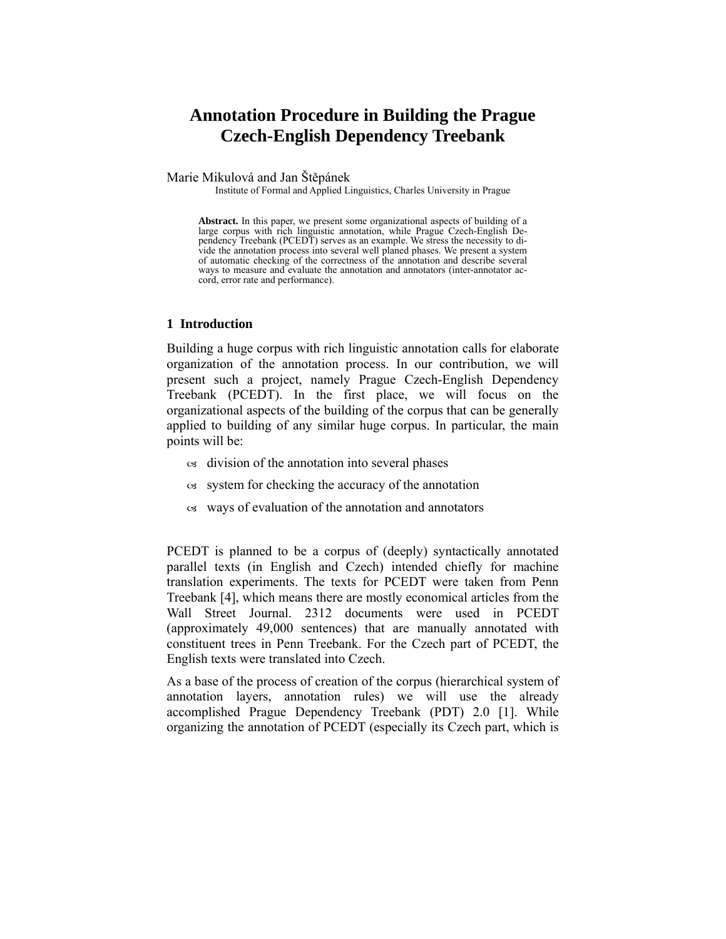# **Annotation Procedure in Building the Prague Czech-English Dependency Treebank**

Marie Mikulová and Jan Štěpánek

Institute of Formal and Applied Linguistics, Charles University in Prague

**Abstract.** In this paper, we present some organizational aspects of building of a large corpus with rich linguistic annotation, while Prague Czech-English Dependency Treebank (PCEDT) serves as an example. We stress the necessity to divide the annotation process into several well planed phases. We present a system of automatic checking of the correctness of the annotation and describe several ways to measure and evaluate the annotation and annotators (inter-annotator accord, error rate and performance).

#### **1 Introduction**

Building a huge corpus with rich linguistic annotation calls for elaborate organization of the annotation process. In our contribution, we will present such a project, namely Prague Czech-English Dependency Treebank (PCEDT). In the first place, we will focus on the organizational aspects of the building of the corpus that can be generally applied to building of any similar huge corpus. In particular, the main points will be:

- $\alpha$  division of the annotation into several phases
- $\infty$  system for checking the accuracy of the annotation
- $\alpha$  ways of evaluation of the annotation and annotators

PCEDT is planned to be a corpus of (deeply) syntactically annotated parallel texts (in English and Czech) intended chiefly for machine translation experiments. The texts for PCEDT were taken from Penn Treebank [4], which means there are mostly economical articles from the Wall Street Journal. 2312 documents were used in PCEDT (approximately 49,000 sentences) that are manually annotated with constituent trees in Penn Treebank. For the Czech part of PCEDT, the English texts were translated into Czech.

As a base of the process of creation of the corpus (hierarchical system of annotation layers, annotation rules) we will use the already accomplished Prague Dependency Treebank (PDT) 2.0 [1]. While organizing the annotation of PCEDT (especially its Czech part, which is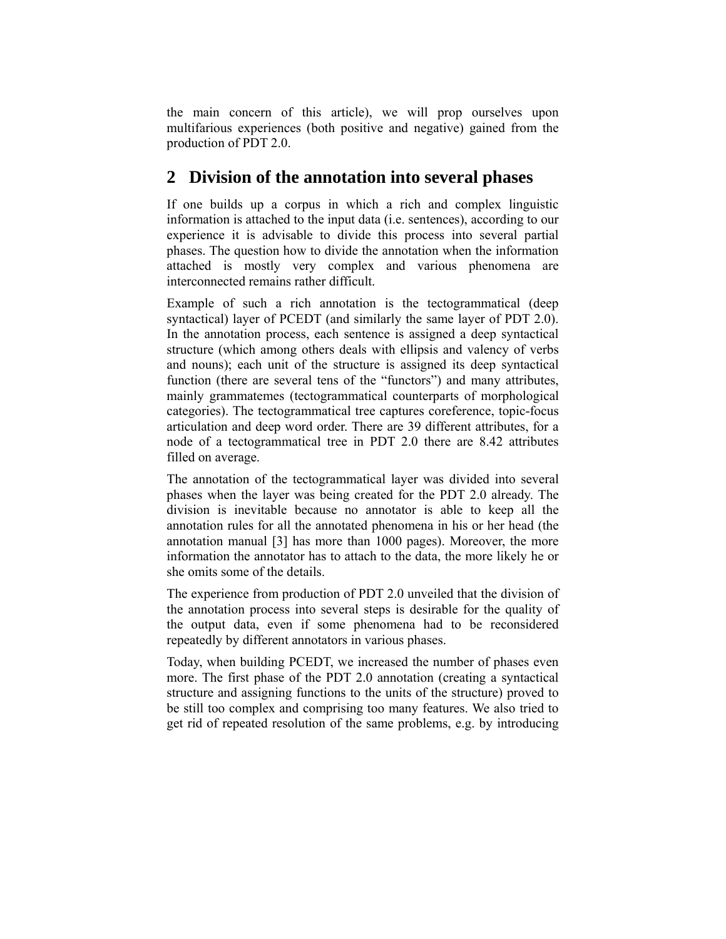the main concern of this article), we will prop ourselves upon multifarious experiences (both positive and negative) gained from the production of PDT 2.0.

## **2 Division of the annotation into several phases**

If one builds up a corpus in which a rich and complex linguistic information is attached to the input data (i.e. sentences), according to our experience it is advisable to divide this process into several partial phases. The question how to divide the annotation when the information attached is mostly very complex and various phenomena are interconnected remains rather difficult.

Example of such a rich annotation is the tectogrammatical (deep syntactical) layer of PCEDT (and similarly the same layer of PDT 2.0). In the annotation process, each sentence is assigned a deep syntactical structure (which among others deals with ellipsis and valency of verbs and nouns); each unit of the structure is assigned its deep syntactical function (there are several tens of the "functors") and many attributes, mainly grammatemes (tectogrammatical counterparts of morphological categories). The tectogrammatical tree captures coreference, topic-focus articulation and deep word order. There are 39 different attributes, for a node of a tectogrammatical tree in PDT 2.0 there are 8.42 attributes filled on average.

The annotation of the tectogrammatical layer was divided into several phases when the layer was being created for the PDT 2.0 already. The division is inevitable because no annotator is able to keep all the annotation rules for all the annotated phenomena in his or her head (the annotation manual [3] has more than 1000 pages). Moreover, the more information the annotator has to attach to the data, the more likely he or she omits some of the details.

The experience from production of PDT 2.0 unveiled that the division of the annotation process into several steps is desirable for the quality of the output data, even if some phenomena had to be reconsidered repeatedly by different annotators in various phases.

Today, when building PCEDT, we increased the number of phases even more. The first phase of the PDT 2.0 annotation (creating a syntactical structure and assigning functions to the units of the structure) proved to be still too complex and comprising too many features. We also tried to get rid of repeated resolution of the same problems, e.g. by introducing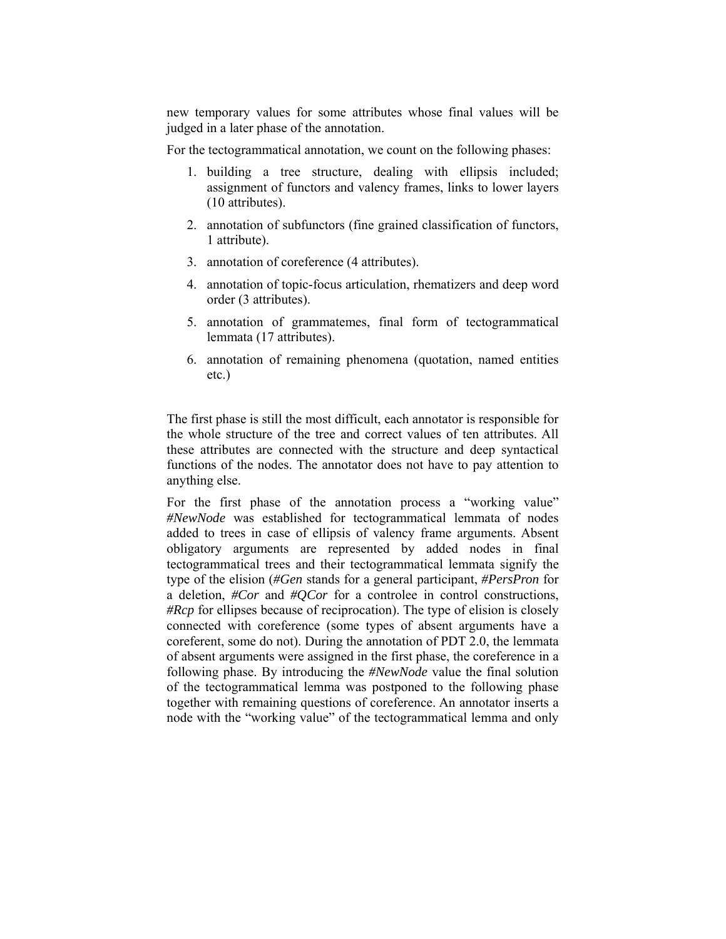new temporary values for some attributes whose final values will be judged in a later phase of the annotation.

For the tectogrammatical annotation, we count on the following phases:

- 1. building a tree structure, dealing with ellipsis included; assignment of functors and valency frames, links to lower layers (10 attributes).
- 2. annotation of subfunctors (fine grained classification of functors, 1 attribute).
- 3. annotation of coreference (4 attributes).
- 4. annotation of topic-focus articulation, rhematizers and deep word order (3 attributes).
- 5. annotation of grammatemes, final form of tectogrammatical lemmata (17 attributes).
- 6. annotation of remaining phenomena (quotation, named entities etc.)

The first phase is still the most difficult, each annotator is responsible for the whole structure of the tree and correct values of ten attributes. All these attributes are connected with the structure and deep syntactical functions of the nodes. The annotator does not have to pay attention to anything else.

For the first phase of the annotation process a "working value" *#NewNode* was established for tectogrammatical lemmata of nodes added to trees in case of ellipsis of valency frame arguments. Absent obligatory arguments are represented by added nodes in final tectogrammatical trees and their tectogrammatical lemmata signify the type of the elision (*#Gen* stands for a general participant, *#PersPron* for a deletion, *#Cor* and *#QCor* for a controlee in control constructions, *#Rcp* for ellipses because of reciprocation). The type of elision is closely connected with coreference (some types of absent arguments have a coreferent, some do not). During the annotation of PDT 2.0, the lemmata of absent arguments were assigned in the first phase, the coreference in a following phase. By introducing the *#NewNode* value the final solution of the tectogrammatical lemma was postponed to the following phase together with remaining questions of coreference. An annotator inserts a node with the "working value" of the tectogrammatical lemma and only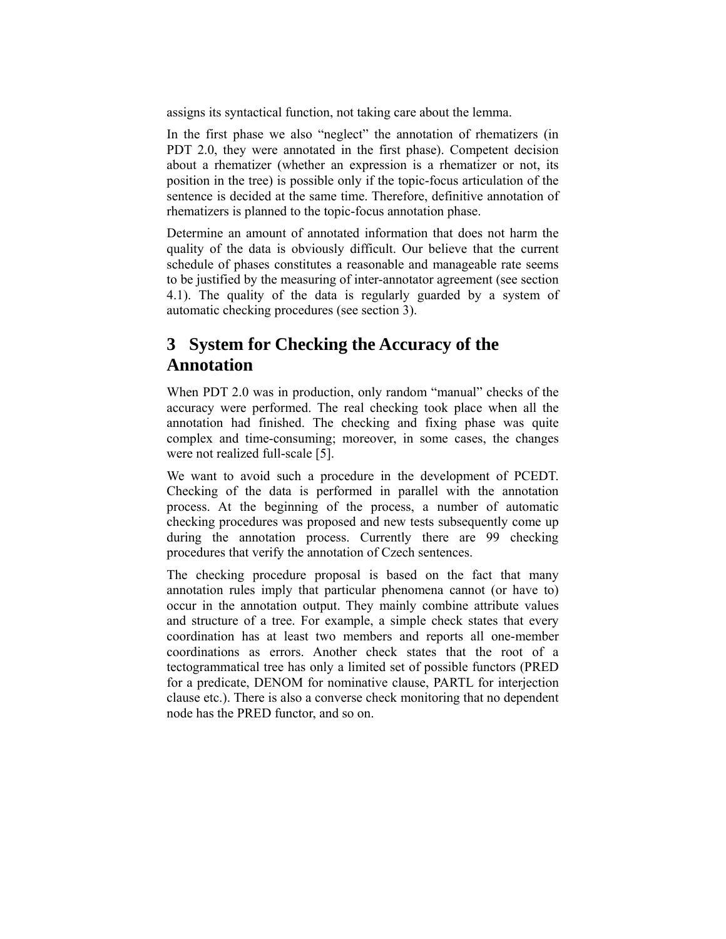assigns its syntactical function, not taking care about the lemma.

In the first phase we also "neglect" the annotation of rhematizers (in PDT 2.0, they were annotated in the first phase). Competent decision about a rhematizer (whether an expression is a rhematizer or not, its position in the tree) is possible only if the topic-focus articulation of the sentence is decided at the same time. Therefore, definitive annotation of rhematizers is planned to the topic-focus annotation phase.

Determine an amount of annotated information that does not harm the quality of the data is obviously difficult. Our believe that the current schedule of phases constitutes a reasonable and manageable rate seems to be justified by the measuring of inter-annotator agreement (see section 4.1). The quality of the data is regularly guarded by a system of automatic checking procedures (see section 3).

# **3 System for Checking the Accuracy of the Annotation**

When PDT 2.0 was in production, only random "manual" checks of the accuracy were performed. The real checking took place when all the annotation had finished. The checking and fixing phase was quite complex and time-consuming; moreover, in some cases, the changes were not realized full-scale [5].

We want to avoid such a procedure in the development of PCEDT. Checking of the data is performed in parallel with the annotation process. At the beginning of the process, a number of automatic checking procedures was proposed and new tests subsequently come up during the annotation process. Currently there are 99 checking procedures that verify the annotation of Czech sentences.

The checking procedure proposal is based on the fact that many annotation rules imply that particular phenomena cannot (or have to) occur in the annotation output. They mainly combine attribute values and structure of a tree. For example, a simple check states that every coordination has at least two members and reports all one-member coordinations as errors. Another check states that the root of a tectogrammatical tree has only a limited set of possible functors (PRED for a predicate, DENOM for nominative clause, PARTL for interjection clause etc.). There is also a converse check monitoring that no dependent node has the PRED functor, and so on.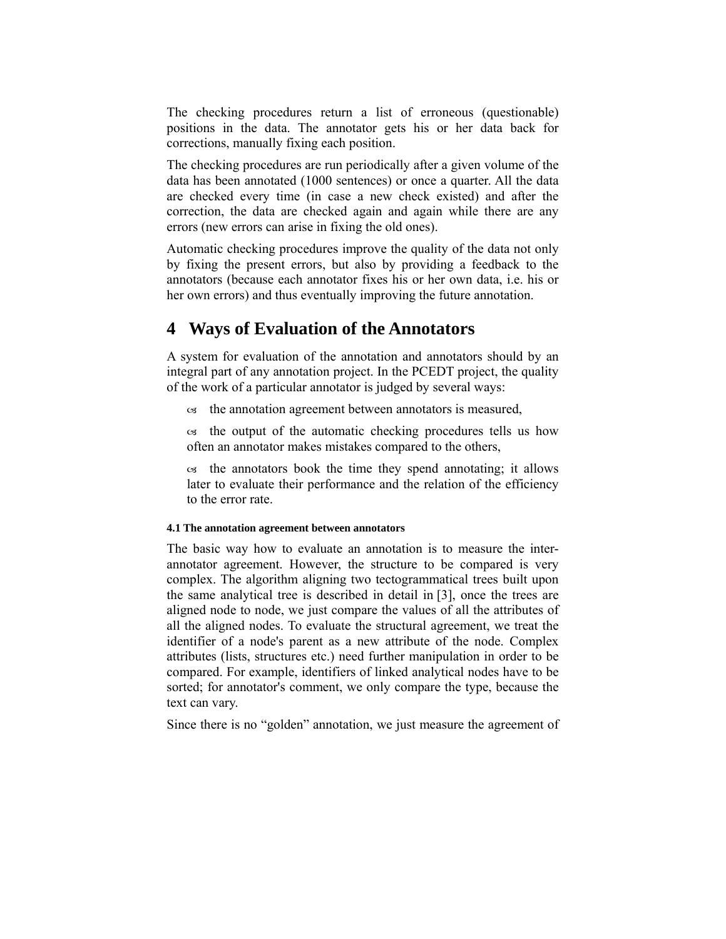The checking procedures return a list of erroneous (questionable) positions in the data. The annotator gets his or her data back for corrections, manually fixing each position.

The checking procedures are run periodically after a given volume of the data has been annotated (1000 sentences) or once a quarter. All the data are checked every time (in case a new check existed) and after the correction, the data are checked again and again while there are any errors (new errors can arise in fixing the old ones).

Automatic checking procedures improve the quality of the data not only by fixing the present errors, but also by providing a feedback to the annotators (because each annotator fixes his or her own data, i.e. his or her own errors) and thus eventually improving the future annotation.

### **4 Ways of Evaluation of the Annotators**

A system for evaluation of the annotation and annotators should by an integral part of any annotation project. In the PCEDT project, the quality of the work of a particular annotator is judged by several ways:

 $\infty$  the annotation agreement between annotators is measured,

 $\infty$  the output of the automatic checking procedures tells us how often an annotator makes mistakes compared to the others,

 $\infty$  the annotators book the time they spend annotating; it allows later to evaluate their performance and the relation of the efficiency to the error rate.

#### **4.1 The annotation agreement between annotators**

The basic way how to evaluate an annotation is to measure the interannotator agreement. However, the structure to be compared is very complex. The algorithm aligning two tectogrammatical trees built upon the same analytical tree is described in detail in [3], once the trees are aligned node to node, we just compare the values of all the attributes of all the aligned nodes. To evaluate the structural agreement, we treat the identifier of a node's parent as a new attribute of the node. Complex attributes (lists, structures etc.) need further manipulation in order to be compared. For example, identifiers of linked analytical nodes have to be sorted; for annotator's comment, we only compare the type, because the text can vary.

Since there is no "golden" annotation, we just measure the agreement of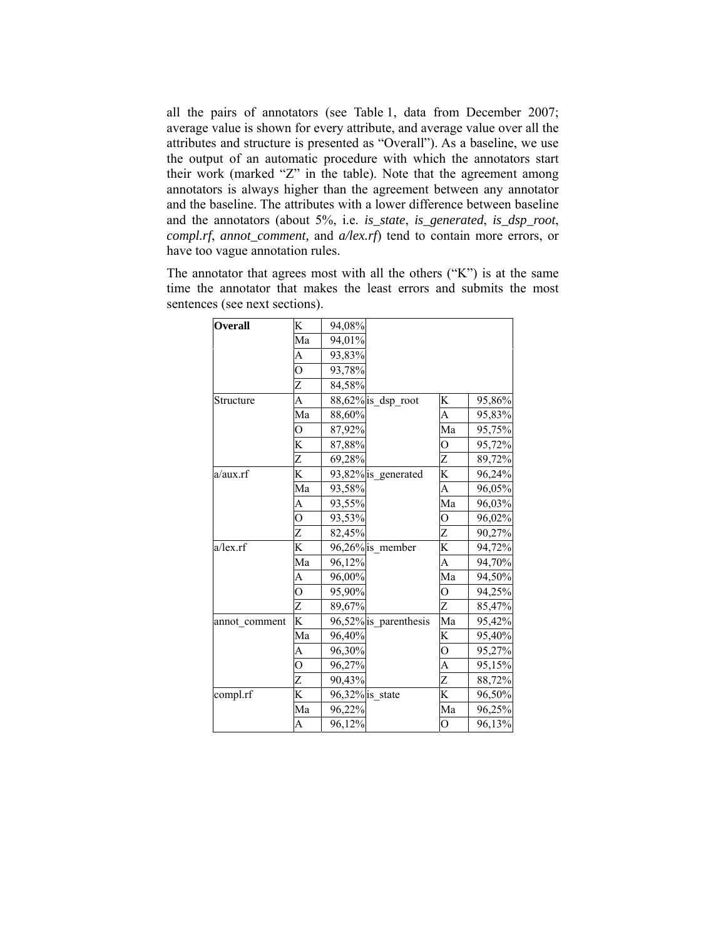all the pairs of annotators (see Table 1, data from December 2007; average value is shown for every attribute, and average value over all the attributes and structure is presented as "Overall"). As a baseline, we use the output of an automatic procedure with which the annotators start their work (marked "Z" in the table). Note that the agreement among annotators is always higher than the agreement between any annotator and the baseline. The attributes with a lower difference between baseline and the annotators (about 5%, i.e. *is\_state*, *is\_generated*, *is\_dsp\_root*, *compl.rf, annot comment, and a/lex.rf*) tend to contain more errors, or have too vague annotation rules.

The annotator that agrees most with all the others  $({}^{\alpha}K^{\gamma})$  is at the same time the annotator that makes the least errors and submits the most sentences (see next sections).

| Ma<br>94,01%<br>A<br>93,83%<br>$\overline{O}$<br>93,78%<br>Z<br>84,58%<br>88,62% is_dsp_root<br>Structure<br>A<br>K<br>Ma<br>A<br>88,60%<br>Ma<br>87,92%<br>$\rm _O$<br>K<br>87,88%<br>Ο<br>Z<br>Z<br>69,28%<br>K<br>K<br>93,82% is_generated<br>a/aux.rf<br>A<br>Ma<br>93,58%<br>Ma<br>93,55%<br>A<br>$\overline{O}$<br>93,53%<br>0<br>Z<br>Z<br>82,45%<br>K<br>K<br>a/lex.rf<br>96,26% is member<br>Ma<br>A<br>96,12%<br>Ma<br>96,00%<br>A<br>$\overline{O}$<br>$\overline{O}$<br>95,90%<br>Z<br>Z<br>89,67%<br>K<br>96,52% is parenthesis<br>Ma<br>annot_comment<br>Ma<br>K<br>96,40%<br>A<br>96,30%<br>0<br>A<br>$\overline{O}$<br>96,27%<br>Z<br>Z<br>90,43%<br>K<br>K<br>compl.rf<br>96,32% is_state<br>Ma<br>Ma<br>96,22%<br>A | <b>Overall</b> | K | 94,08% |  |                |        |
|---------------------------------------------------------------------------------------------------------------------------------------------------------------------------------------------------------------------------------------------------------------------------------------------------------------------------------------------------------------------------------------------------------------------------------------------------------------------------------------------------------------------------------------------------------------------------------------------------------------------------------------------------------------------------------------------------------------------------------------|----------------|---|--------|--|----------------|--------|
|                                                                                                                                                                                                                                                                                                                                                                                                                                                                                                                                                                                                                                                                                                                                       |                |   |        |  |                |        |
|                                                                                                                                                                                                                                                                                                                                                                                                                                                                                                                                                                                                                                                                                                                                       |                |   |        |  |                |        |
|                                                                                                                                                                                                                                                                                                                                                                                                                                                                                                                                                                                                                                                                                                                                       |                |   |        |  |                |        |
|                                                                                                                                                                                                                                                                                                                                                                                                                                                                                                                                                                                                                                                                                                                                       |                |   |        |  |                |        |
|                                                                                                                                                                                                                                                                                                                                                                                                                                                                                                                                                                                                                                                                                                                                       |                |   |        |  |                | 95,86% |
|                                                                                                                                                                                                                                                                                                                                                                                                                                                                                                                                                                                                                                                                                                                                       |                |   |        |  |                | 95,83% |
|                                                                                                                                                                                                                                                                                                                                                                                                                                                                                                                                                                                                                                                                                                                                       |                |   |        |  |                | 95,75% |
|                                                                                                                                                                                                                                                                                                                                                                                                                                                                                                                                                                                                                                                                                                                                       |                |   |        |  |                | 95,72% |
|                                                                                                                                                                                                                                                                                                                                                                                                                                                                                                                                                                                                                                                                                                                                       |                |   |        |  |                | 89,72% |
|                                                                                                                                                                                                                                                                                                                                                                                                                                                                                                                                                                                                                                                                                                                                       |                |   |        |  |                | 96,24% |
|                                                                                                                                                                                                                                                                                                                                                                                                                                                                                                                                                                                                                                                                                                                                       |                |   |        |  |                | 96,05% |
|                                                                                                                                                                                                                                                                                                                                                                                                                                                                                                                                                                                                                                                                                                                                       |                |   |        |  |                | 96,03% |
|                                                                                                                                                                                                                                                                                                                                                                                                                                                                                                                                                                                                                                                                                                                                       |                |   |        |  |                | 96,02% |
|                                                                                                                                                                                                                                                                                                                                                                                                                                                                                                                                                                                                                                                                                                                                       |                |   |        |  |                | 90,27% |
|                                                                                                                                                                                                                                                                                                                                                                                                                                                                                                                                                                                                                                                                                                                                       |                |   |        |  |                | 94,72% |
|                                                                                                                                                                                                                                                                                                                                                                                                                                                                                                                                                                                                                                                                                                                                       |                |   |        |  |                | 94,70% |
|                                                                                                                                                                                                                                                                                                                                                                                                                                                                                                                                                                                                                                                                                                                                       |                |   |        |  |                | 94,50% |
|                                                                                                                                                                                                                                                                                                                                                                                                                                                                                                                                                                                                                                                                                                                                       |                |   |        |  |                | 94,25% |
|                                                                                                                                                                                                                                                                                                                                                                                                                                                                                                                                                                                                                                                                                                                                       |                |   |        |  |                | 85,47% |
|                                                                                                                                                                                                                                                                                                                                                                                                                                                                                                                                                                                                                                                                                                                                       |                |   |        |  |                | 95,42% |
|                                                                                                                                                                                                                                                                                                                                                                                                                                                                                                                                                                                                                                                                                                                                       |                |   |        |  |                | 95,40% |
|                                                                                                                                                                                                                                                                                                                                                                                                                                                                                                                                                                                                                                                                                                                                       |                |   |        |  |                | 95,27% |
|                                                                                                                                                                                                                                                                                                                                                                                                                                                                                                                                                                                                                                                                                                                                       |                |   |        |  |                | 95,15% |
|                                                                                                                                                                                                                                                                                                                                                                                                                                                                                                                                                                                                                                                                                                                                       |                |   |        |  |                | 88,72% |
|                                                                                                                                                                                                                                                                                                                                                                                                                                                                                                                                                                                                                                                                                                                                       |                |   |        |  |                | 96,50% |
|                                                                                                                                                                                                                                                                                                                                                                                                                                                                                                                                                                                                                                                                                                                                       |                |   |        |  |                | 96,25% |
|                                                                                                                                                                                                                                                                                                                                                                                                                                                                                                                                                                                                                                                                                                                                       |                |   | 96,12% |  | $\overline{O}$ | 96,13% |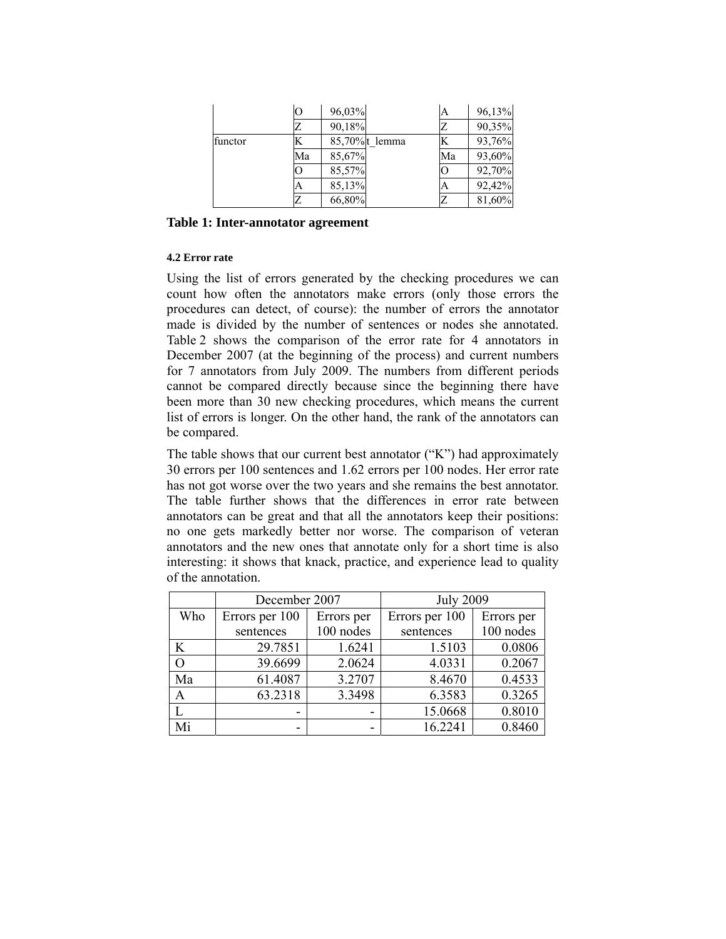|         |    | 96,03% |                | А  | 96,13% |
|---------|----|--------|----------------|----|--------|
|         |    | 90,18% |                |    | 90,35% |
| functor |    |        | 85,70% t lemma |    | 93,76% |
|         | Ma | 85,67% |                | Ma | 93,60% |
|         |    | 85,57% |                |    | 92,70% |
|         |    | 85,13% |                |    | 92,42% |
|         |    | 66,80% |                |    | 81,60% |

**Table 1: Inter-annotator agreement** 

### **4.2 Error rate**

Using the list of errors generated by the checking procedures we can count how often the annotators make errors (only those errors the procedures can detect, of course): the number of errors the annotator made is divided by the number of sentences or nodes she annotated. Table 2 shows the comparison of the error rate for 4 annotators in December 2007 (at the beginning of the process) and current numbers for 7 annotators from July 2009. The numbers from different periods cannot be compared directly because since the beginning there have been more than 30 new checking procedures, which means the current list of errors is longer. On the other hand, the rank of the annotators can be compared.

The table shows that our current best annotator ("K") had approximately 30 errors per 100 sentences and 1.62 errors per 100 nodes. Her error rate has not got worse over the two years and she remains the best annotator. The table further shows that the differences in error rate between annotators can be great and that all the annotators keep their positions: no one gets markedly better nor worse. The comparison of veteran annotators and the new ones that annotate only for a short time is also interesting: it shows that knack, practice, and experience lead to quality of the annotation.

|     | December 2007                |           | <b>July 2009</b> |            |  |
|-----|------------------------------|-----------|------------------|------------|--|
| Who | Errors per 100<br>Errors per |           | Errors per 100   | Errors per |  |
|     | sentences                    | 100 nodes | sentences        | 100 nodes  |  |
| K   | 29.7851                      | 1.6241    | 1.5103           | 0.0806     |  |
| O   | 39.6699                      | 2.0624    | 4.0331           | 0.2067     |  |
| Ma  | 61.4087                      | 3.2707    | 8.4670           | 0.4533     |  |
| A   | 63.2318                      | 3.3498    | 6.3583           | 0.3265     |  |
|     |                              | -         | 15.0668          | 0.8010     |  |
| Mi  |                              | -         | 16.2241          | 0.8460     |  |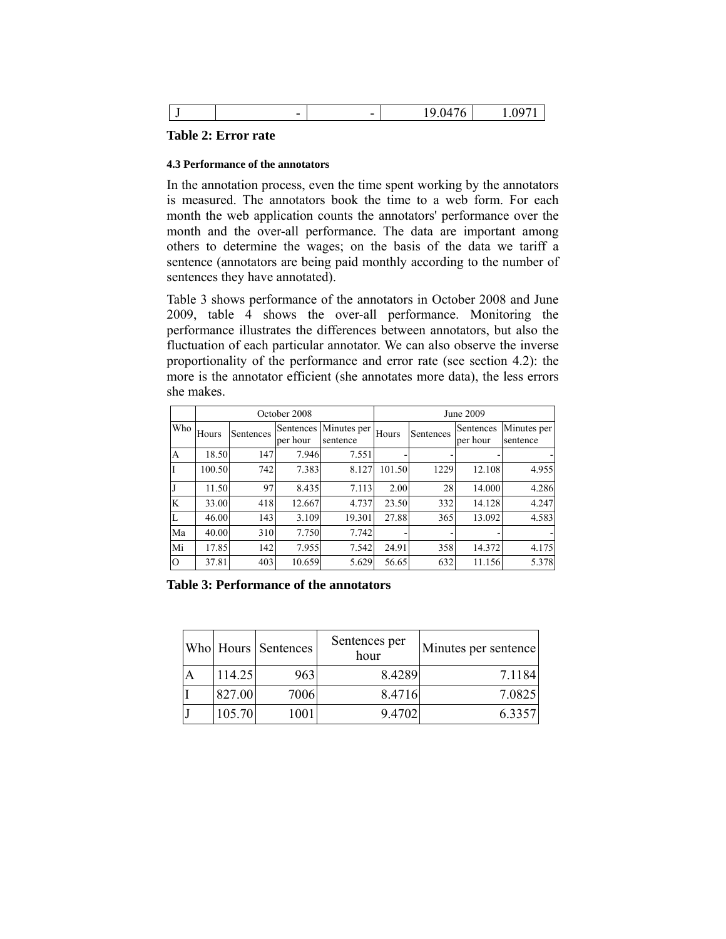|  | - 100 | $\overline{\phantom{0}}$ | $\overline{\phantom{0}}$ |  |  |
|--|-------|--------------------------|--------------------------|--|--|
|--|-------|--------------------------|--------------------------|--|--|

#### **Table 2: Error rate**

#### **4.3 Performance of the annotators**

In the annotation process, even the time spent working by the annotators is measured. The annotators book the time to a web form. For each month the web application counts the annotators' performance over the month and the over-all performance. The data are important among others to determine the wages; on the basis of the data we tariff a sentence (annotators are being paid monthly according to the number of sentences they have annotated).

Table 3 shows performance of the annotators in October 2008 and June 2009, table 4 shows the over-all performance. Monitoring the performance illustrates the differences between annotators, but also the fluctuation of each particular annotator. We can also observe the inverse proportionality of the performance and error rate (see section 4.2): the more is the annotator efficient (she annotates more data), the less errors she makes.

|                | October 2008 |           |                       |                         | June 2009 |           |                       |                         |
|----------------|--------------|-----------|-----------------------|-------------------------|-----------|-----------|-----------------------|-------------------------|
| Who            | Hours        | Sentences | Sentences<br>per hour | Minutes per<br>sentence | Hours     | Sentences | Sentences<br>per hour | Minutes per<br>sentence |
| A              | 18.50        | 147       | 7.946                 | 7.551                   |           |           |                       |                         |
|                | 100.50       | 742       | 7.383                 | 8.127                   | 101.50    | 1229      | 12.108                | 4.955                   |
|                | 11.50        | 97        | 8.435                 | 7.113                   | 2.00      | 28        | 14.000                | 4.286                   |
| K              | 33.00        | 418       | 12.667                | 4.737                   | 23.50     | 332       | 14.128                | 4.247                   |
|                | 46.00        | 143       | 3.109                 | 19.301                  | 27.88     | 365       | 13.092                | 4.583                   |
| Ma             | 40.00        | 310       | 7.750                 | 7.742                   |           |           |                       |                         |
| Mi             | 17.85        | 142       | 7.955                 | 7.542                   | 24.91     | 358       | 14.372                | 4.175                   |
| $\overline{O}$ | 37.81        | 403       | 10.659                | 5.629                   | 56.65     | 632       | 11.156                | 5.378                   |

**Table 3: Performance of the annotators** 

|        | Who Hours Sentences | Sentences per<br>hour | Minutes per sentence |
|--------|---------------------|-----------------------|----------------------|
| 114.25 | 963                 | 8.4289                | 7.1184               |
| 827.00 | 7006                | 8.4716                | 7.0825               |
| 105.70 | 1001                | 9.4702                | 6.3357               |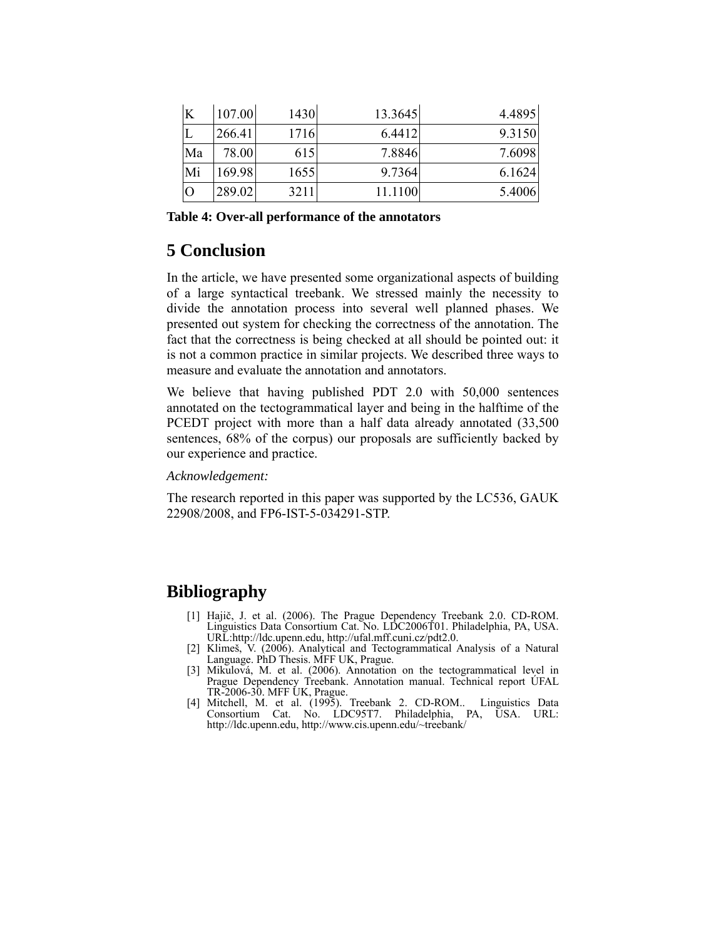| K              | 107.00 | 1430 | 13.3645 | 4.4895 |
|----------------|--------|------|---------|--------|
|                | 266.41 | 1716 | 6.4412  | 9.3150 |
| Ma             | 78.00  | 615  | 7.8846  | 7.6098 |
| Mi             | 169.98 | 1655 | 9.7364  | 6.1624 |
| $\overline{O}$ | 289.02 | 3211 | 11.1100 | 5.4006 |

**Table 4: Over-all performance of the annotators** 

## **5 Conclusion**

In the article, we have presented some organizational aspects of building of a large syntactical treebank. We stressed mainly the necessity to divide the annotation process into several well planned phases. We presented out system for checking the correctness of the annotation. The fact that the correctness is being checked at all should be pointed out: it is not a common practice in similar projects. We described three ways to measure and evaluate the annotation and annotators.

We believe that having published PDT 2.0 with 50,000 sentences annotated on the tectogrammatical layer and being in the halftime of the PCEDT project with more than a half data already annotated  $(33,500)$ sentences, 68% of the corpus) our proposals are sufficiently backed by our experience and practice.

*Acknowledgement:* 

The research reported in this paper was supported by the LC536, GAUK 22908/2008, and FP6-IST-5-034291-STP.

# **Bibliography**

- [1] Hajič, J. et al. (2006). The Prague Dependency Treebank 2.0. CD-ROM. Linguistics Data Consortium Cat. No. LDC2006T01. Philadelphia, PA, USA. URL:http://ldc.upenn.edu, http://ufal.mff.cuni.cz/pdt2.0.
- [2] Klimeš, V. (2006). Analytical and Tectogrammatical Analysis of a Natural Language. PhD Thesis. MFF UK, Prague.
- [3] Mikulová, M. et al. (2006). Annotation on the tectogrammatical level in Prague Dependency Treebank. Annotation manual. Technical report ÚFAL TR-2006-30. MFF UK, Prague.
- [4] Mitchell, M. et al. (1995). Treebank 2. CD-ROM.. Linguistics Data Consortium Cat. No. LDC95T7. Philadelphia, PA, USA. URL: http://ldc.upenn.edu, http://www.cis.upenn.edu/~treebank/